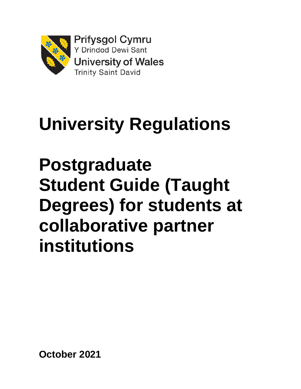

# **University Regulations**

**Postgraduate Student Guide (Taught Degrees) for students at collaborative partner institutions**

**October 2021**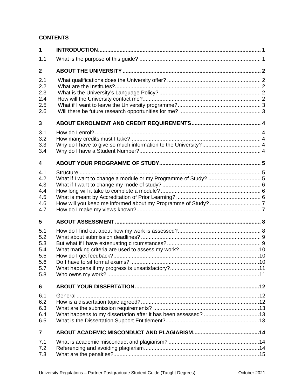#### **CONTENTS**

| $\mathbf{1}$                                         |  |
|------------------------------------------------------|--|
| 1.1                                                  |  |
| $\mathbf{2}$                                         |  |
| 2.1<br>2.2<br>2.3<br>2.4<br>2.5<br>2.6               |  |
| 3                                                    |  |
| 3.1<br>3.2<br>3.3<br>3.4                             |  |
| 4                                                    |  |
| 4.1<br>4.2<br>4.3<br>4.4<br>4.5<br>4.6<br>4.7        |  |
| 5                                                    |  |
| 5.1<br>5.2<br>5.3<br>5.4<br>5.5<br>5.6<br>5.7<br>5.8 |  |
| 6                                                    |  |
| 6.1<br>6.2<br>6.3<br>6.4<br>6.5                      |  |
| $\overline{7}$                                       |  |
| 7.1<br>7.2<br>7.3                                    |  |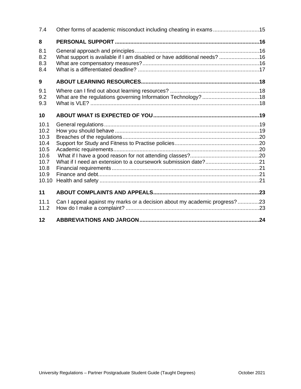| 7.4                                                                           | Other forms of academic misconduct including cheating in exams15          |  |
|-------------------------------------------------------------------------------|---------------------------------------------------------------------------|--|
| 8                                                                             |                                                                           |  |
| 8.1<br>8.2<br>8.3<br>8.4                                                      | What support is available if I am disabled or have additional needs? 16   |  |
| 9                                                                             |                                                                           |  |
| 9.1<br>9.2<br>9.3                                                             |                                                                           |  |
| 10                                                                            |                                                                           |  |
| 10.1<br>10.2<br>10.3<br>10.4<br>10.5<br>10.6<br>10.7<br>10.8<br>10.9<br>10.10 |                                                                           |  |
| 11                                                                            |                                                                           |  |
| 11.1<br>11.2                                                                  | Can I appeal against my marks or a decision about my academic progress?23 |  |
| 12                                                                            |                                                                           |  |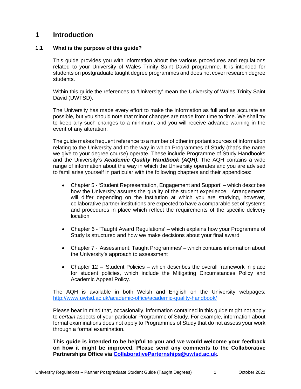## <span id="page-3-0"></span>**1 Introduction**

#### **1.1 What is the purpose of this guide?**

<span id="page-3-1"></span>This guide provides you with information about the various procedures and regulations related to your University of Wales Trinity Saint David programme. It is intended for students on postgraduate taught degree programmes and does not cover research degree students.

Within this guide the references to 'University' mean the University of Wales Trinity Saint David (UWTSD).

The University has made every effort to make the information as full and as accurate as possible, but you should note that minor changes are made from time to time. We shall try to keep any such changes to a minimum, and you will receive advance warning in the event of any alteration.

The guide makes frequent reference to a number of other important sources of information relating to the University and to the way in which Programmes of Study (that's the name we give to your degree course) operate. These include Programme of Study Handbooks and the University's *Academic Quality Handbook (AQH)*. The AQH contains a wide range of information about the way in which the University operates and you are advised to familiarise yourself in particular with the following chapters and their appendices:

- Chapter 5 'Student Representation, Engagement and Support' which describes how the University assures the quality of the student experience. Arrangements will differ depending on the institution at which you are studying, however, collaborative partner institutions are expected to have a comparable set of systems and procedures in place which reflect the requirements of the specific delivery location
- Chapter 6 'Taught Award Regulations' which explains how your Programme of Study is structured and how we make decisions about your final award
- Chapter 7 'Assessment: Taught Programmes' which contains information about the University's approach to assessment
- Chapter 12 'Student Policies which describes the overall framework in place for student policies, which include the Mitigating Circumstances Policy and Academic Appeal Policy.

The AQH is available in both Welsh and English on the University webpages: <http://www.uwtsd.ac.uk/academic-office/academic-quality-handbook/>

Please bear in mind that, occasionally, information contained in this guide might not apply to *certain* aspects of your particular Programme of Study. For example, information about formal examinations does not apply to Programmes of Study that do not assess your work through a formal examination.

**This guide is intended to be helpful to you and we would welcome your feedback on how it might be improved. Please send any comments to the Collaborative Partnerships Office via [CollaborativeParternships@uwtsd.ac.uk.](mailto:CollaborativeParternships@uwtsd.ac.uk)**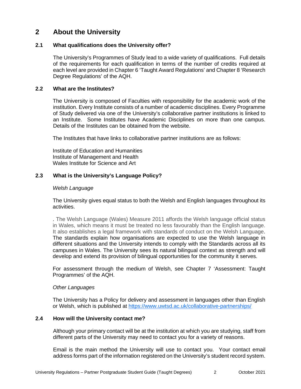## <span id="page-4-0"></span>**2 About the University**

#### <span id="page-4-1"></span>**2.1 What qualifications does the University offer?**

The University's Programmes of Study lead to a wide variety of qualifications. Full details of the requirements for each qualification in terms of the number of credits required at each level are provided in Chapter 6 'Taught Award Regulations' and Chapter 8 'Research Degree Regulations' of the AQH.

#### <span id="page-4-2"></span>**2.2 What are the Institutes?**

The University is composed of Faculties with responsibility for the academic work of the institution. Every Institute consists of a number of academic disciplines. Every Programme of Study delivered via one of the University's collaborative partner institutions is linked to an Institute. Some Institutes have Academic Disciplines on more than one campus. Details of the Institutes can be obtained from the website.

The Institutes that have links to collaborative partner institutions are as follows:

Institute of Education and Humanities Institute of Management and Health Wales Institute for Science and Art

#### <span id="page-4-3"></span>**2.3 What is the University's Language Policy?**

#### *Welsh Language*

The University gives equal status to both the Welsh and English languages throughout its activities.

. The Welsh Language (Wales) Measure 2011 affords the Welsh language official status in Wales, which means it must be treated no less favourably than the English language. It also establishes a legal framework with standards of conduct on the Welsh Language. The standards explain how organisations are expected to use the Welsh language in different situations and the University intends to comply with the Standards across all its campuses in Wales. The University sees its natural bilingual context as strength and will develop and extend its provision of bilingual opportunities for the community it serves.

For assessment through the medium of Welsh, see Chapter 7 'Assessment: Taught Programmes' of the AQH.

#### *Other Languages*

The University has a Policy for delivery and assessment in languages other than English or Welsh, which is published at<https://www.uwtsd.ac.uk/collaborative-partnerships/>

#### <span id="page-4-4"></span>**2.4 How will the University contact me?**

Although your primary contact will be at the institution at which you are studying, staff from different parts of the University may need to contact you for a variety of reasons.

Email is the main method the University will use to contact you. Your contact email address forms part of the information registered on the University's student record system.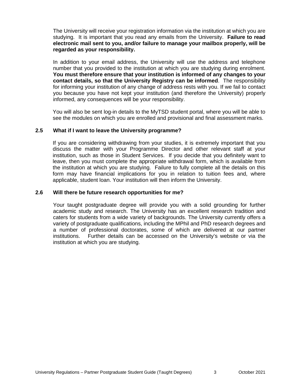The University will receive your registration information via the institution at which you are studying. It is important that you read any emails from the University. **Failure to read electronic mail sent to you, and/or failure to manage your mailbox properly, will be regarded as your responsibility.**

In addition to your email address, the University will use the address and telephone number that you provided to the institution at which you are studying during enrolment. **You must therefore ensure that your institution is informed of any changes to your contact details, so that the University Registry can be informed**. The responsibility for informing your institution of any change of address rests with you. If we fail to contact you because you have not kept your institution (and therefore the University) properly informed, any consequences will be your responsibility.

You will also be sent log-in details to the MyTSD student portal, where you will be able to see the modules on which you are enrolled and provisional and final assessment marks.

#### <span id="page-5-0"></span>**2.5 What if I want to leave the University programme?**

If you are considering withdrawing from your studies, it is extremely important that you discuss the matter with your Programme Director and other relevant staff at your institution, such as those in Student Services. If you decide that you definitely want to leave, then you must complete the appropriate withdrawal form, which is available from the institution at which you are studying. Failure to fully complete all the details on this form may have financial implications for you in relation to tuition fees and, where applicable, student loan. Your institution will then inform the University.

#### <span id="page-5-1"></span>**2.6 Will there be future research opportunities for me?**

Your taught postgraduate degree will provide you with a solid grounding for further academic study and research. The University has an excellent research tradition and caters for students from a wide variety of backgrounds. The University currently offers a variety of postgraduate qualifications, including the MPhil and PhD research degrees and a number of professional doctorates, some of which are delivered at our partner institutions. Further details can be accessed on the University's website or via the institution at which you are studying.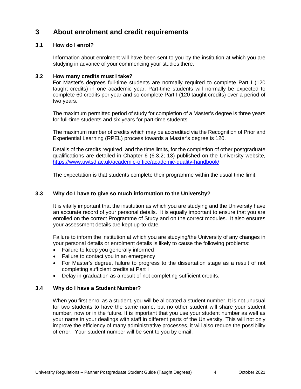## <span id="page-6-0"></span>**3 About enrolment and credit requirements**

#### <span id="page-6-1"></span>**3.1 How do I enrol?**

Information about enrolment will have been sent to you by the institution at which you are studying in advance of your commencing your studies there.

#### <span id="page-6-2"></span>**3.2 How many credits must I take?**

For Master's degrees full-time students are normally required to complete Part I (120 taught credits) in one academic year. Part-time students will normally be expected to complete 60 credits per year and so complete Part I (120 taught credits) over a period of two years.

The maximum permitted period of study for completion of a Master's degree is three years for full-time students and six years for part-time students.

The maximum number of credits which may be accredited via the Recognition of Prior and Experiential Learning (RPEL) process towards a Master's degree is 120.

Details of the credits required, and the time limits, for the completion of other postgraduate qualifications are detailed in Chapter 6 (6.3.2; 13) published on the University website, [https://www.uwtsd.ac.uk/academic-office/academic-quality-handbook/.](https://www.uwtsd.ac.uk/academic-office/academic-quality-handbook/)

The expectation is that students complete their programme within the usual time limit.

#### <span id="page-6-3"></span>**3.3 Why do I have to give so much information to the University?**

It is vitally important that the institution as which you are studying and the University have an accurate record of your personal details. It is equally important to ensure that you are enrolled on the correct Programme of Study and on the correct modules. It also ensures your assessment details are kept up-to-date.

Failure to inform the institution at which you are studying/the University of any changes in your personal details or enrolment details is likely to cause the following problems:

- Failure to keep you generally informed
- Failure to contact you in an emergency
- For Master's degree, failure to progress to the dissertation stage as a result of not completing sufficient credits at Part I
- Delay in graduation as a result of not completing sufficient credits.

#### <span id="page-6-4"></span>**3.4 Why do I have a Student Number?**

When you first enrol as a student, you will be allocated a student number. It is not unusual for two students to have the same name, but no other student will share your student number, now or in the future. It is important that you use your student number as well as your name in your dealings with staff in different parts of the University. This will not only improve the efficiency of many administrative processes, it will also reduce the possibility of error. Your student number will be sent to you by email.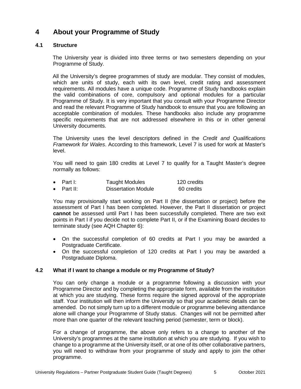## <span id="page-7-0"></span>**4 About your Programme of Study**

#### <span id="page-7-1"></span>**4.1 Structure**

The University year is divided into three terms or two semesters depending on your Programme of Study.

All the University's degree programmes of study are modular. They consist of modules, which are units of study, each with its own level, credit rating and assessment requirements. All modules have a unique code. Programme of Study handbooks explain the valid combinations of core, compulsory and optional modules for a particular Programme of Study. It is very important that you consult with your Programme Director and read the relevant Programme of Study handbook to ensure that you are following an acceptable combination of modules. These handbooks also include any programme specific requirements that are not addressed elsewhere in this or in other general University documents.

The University uses the level descriptors defined in the *Credit and Qualifications Framework for Wales*. According to this framework, Level 7 is used for work at Master's level.

You will need to gain 180 credits at Level 7 to qualify for a Taught Master's degree normally as follows:

| $\bullet$ Part I:  | <b>Taught Modules</b>      | 120 credits |
|--------------------|----------------------------|-------------|
| $\bullet$ Part II: | <b>Dissertation Module</b> | 60 credits  |

You may provisionally start working on Part II (the dissertation or project) before the assessment of Part I has been completed. However, the Part II dissertation or project **cannot** be assessed until Part I has been successfully completed. There are two exit points in Part I if you decide not to complete Part II, or if the Examining Board decides to terminate study (see AQH Chapter 6):

- On the successful completion of 60 credits at Part I you may be awarded a Postgraduate Certificate.
- On the successful completion of 120 credits at Part I you may be awarded a Postgraduate Diploma.

#### <span id="page-7-2"></span>**4.2 What if I want to change a module or my Programme of Study?**

You can only change a module or a programme following a discussion with your Programme Director and by completing the appropriate form, available from the institution at which you are studying. These forms require the signed approval of the appropriate staff. Your institution will then inform the University so that your academic details can be amended. Do not simply turn up to a different module or programme believing attendance alone will change your Programme of Study status. Changes will not be permitted after more than one quarter of the relevant teaching period (semester, term or block).

For a change of programme, the above only refers to a change to another of the University's programmes at the same institution at which you are studying. If you wish to change to a programme at the University itself, or at one of its other collaborative partners, you will need to withdraw from your programme of study and apply to join the other programme.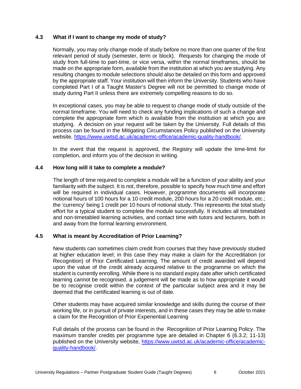#### <span id="page-8-0"></span>**4.3 What if I want to change my mode of study?**

Normally, you may only change mode of study before no more than one quarter of the first relevant period of study (semester, term or block). Requests for changing the mode of study from full-time to part-time, or vice versa, within the normal timeframes, should be made on the appropriate form, available from the institution at which you are studying. Any resulting changes to module selections should also be detailed on this form and approved by the appropriate staff. Your institution will then inform the University. Students who have completed Part I of a Taught Master's Degree will not be permitted to change mode of study during Part II unless there are extremely compelling reasons to do so.

In exceptional cases, you may be able to request to change mode of study outside of the normal timeframe. You will need to check any funding implications of such a change and complete the appropriate form which is available from the institution at which you are studying. A decision on your request will be taken by the University. Full details of this process can be found in the Mitigating Circumstances Policy published on the University website, [https://www.uwtsd.ac.uk/academic-office/academic-quality-handbook/.](https://www.uwtsd.ac.uk/academic-office/academic-quality-handbook/)

In the event that the request is approved, the Registry will update the time-limit for completion, and inform you of the decision in writing.

#### <span id="page-8-1"></span>**4.4 How long will it take to complete a module?**

The length of time required to complete a module will be a function of your ability and your familiarity with the subject. It is not, therefore, possible to specify how much time and effort will be required in individual cases. However, programme documents will incorporate notional hours of 100 hours for a 10 credit module, 200 hours for a 20 credit module, etc.; the 'currency' being 1 credit per 10 hours of notional study. This represents the total study effort for a typical student to complete the module successfully. It includes all timetabled and non-timetabled learning activities, and contact time with tutors and lecturers, both in and away from the formal learning environment.

#### <span id="page-8-2"></span>**4.5 What is meant by Accreditation of Prior Learning?**

New students can sometimes claim credit from courses that they have previously studied at higher education level; in this case they may make a claim for the Accreditation (or Recognition) of Prior Certificated Learning. The amount of credit awarded will depend upon the value of the credit already acquired relative to the programme on which the student is currently enrolling. While there is no standard expiry date after which certificated learning cannot be recognised, a judgement will be made as to how appropriate it would be to recognise credit within the context of the particular subject area and it may be deemed that the certificated learning is out of date.

Other students may have acquired similar knowledge and skills during the course of their working life, or in pursuit of private interests, and in these cases they may be able to make a claim for the Recognition of Prior Experiential Learning

Full details of the process can be found in the Recognition of Prior Learning Policy. The maximum transfer credits per programme type are detailed in Chapter 6 (6.3.2; 11-13) published on the University website, [https://www.uwtsd.ac.uk/academic-office/academic](https://www.uwtsd.ac.uk/academic-office/academic-quality-handbook/)[quality-handbook/.](https://www.uwtsd.ac.uk/academic-office/academic-quality-handbook/)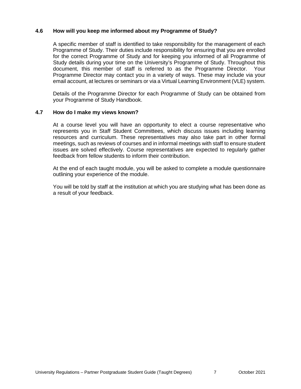#### <span id="page-9-0"></span>**4.6 How will you keep me informed about my Programme of Study?**

A specific member of staff is identified to take responsibility for the management of each Programme of Study. Their duties include responsibility for ensuring that you are enrolled for the correct Programme of Study and for keeping you informed of all Programme of Study details during your time on the University's Programme of Study. Throughout this document, this member of staff is referred to as the Programme Director. Your Programme Director may contact you in a variety of ways. These may include via your email account, at lectures or seminars or via a Virtual Learning Environment (VLE) system.

Details of the Programme Director for each Programme of Study can be obtained from your Programme of Study Handbook.

#### <span id="page-9-1"></span>**4.7 How do I make my views known?**

At a course level you will have an opportunity to elect a course representative who represents you in Staff Student Committees, which discuss issues including learning resources and curriculum. These representatives may also take part in other formal meetings, such as reviews of courses and in informal meetings with staff to ensure student issues are solved effectively. Course representatives are expected to regularly gather feedback from fellow students to inform their contribution.

At the end of each taught module, you will be asked to complete a module questionnaire outlining your experience of the module.

You will be told by staff at the institution at which you are studying what has been done as a result of your feedback.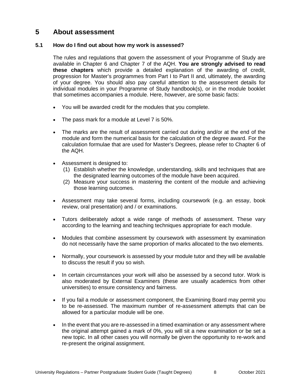## <span id="page-10-0"></span>**5 About assessment**

#### <span id="page-10-1"></span>**5.1 How do I find out about how my work is assessed?**

The rules and regulations that govern the assessment of your Programme of Study are available in Chapter 6 and Chapter 7 of the AQH. **You are strongly advised to read these chapters** which provide a detailed explanation of the awarding of credit, progression for Master's programmes from Part I to Part II and, ultimately, the awarding of your degree. You should also pay careful attention to the assessment details for individual modules in your Programme of Study handbook(s), or in the module booklet that sometimes accompanies a module. Here, however, are some basic facts:

- You will be awarded credit for the modules that you complete.
- The pass mark for a module at Level 7 is 50%.
- The marks are the result of assessment carried out during and/or at the end of the module and form the numerical basis for the calculation of the degree award. For the calculation formulae that are used for Master's Degrees, please refer to Chapter 6 of the AQH.
- Assessment is designed to:
	- (1) Establish whether the knowledge, understanding, skills and techniques that are the designated learning outcomes of the module have been acquired.
	- (2) Measure your success in mastering the content of the module and achieving those learning outcomes.
- Assessment may take several forms, including coursework (e.g. an essay, book review, oral presentation) and / or examinations.
- Tutors deliberately adopt a wide range of methods of assessment. These vary according to the learning and teaching techniques appropriate for each module.
- Modules that combine assessment by coursework with assessment by examination do not necessarily have the same proportion of marks allocated to the two elements.
- Normally, your coursework is assessed by your module tutor and they will be available to discuss the result if you so wish.
- In certain circumstances your work will also be assessed by a second tutor. Work is also moderated by External Examiners (these are usually academics from other universities) to ensure consistency and fairness.
- If you fail a module or assessment component, the Examining Board may permit you to be re-assessed. The maximum number of re-assessment attempts that can be allowed for a particular module will be one.
- In the event that you are re-assessed in a timed examination or any assessment where the original attempt gained a mark of 0%, you will sit a new examination or be set a new topic. In all other cases you will normally be given the opportunity to re-work and re-present the original assignment.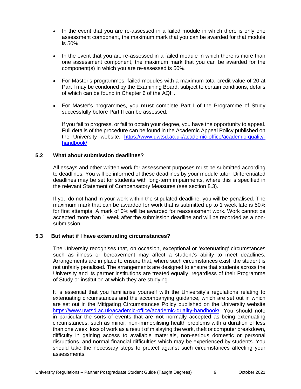- In the event that you are re-assessed in a failed module in which there is only one assessment component, the maximum mark that you can be awarded for that module is 50%.
- In the event that you are re-assessed in a failed module in which there is more than one assessment component, the maximum mark that you can be awarded for the component(s) in which you are re-assessed is 50%.
- For Master's programmes, failed modules with a maximum total credit value of 20 at Part I may be condoned by the Examining Board, subject to certain conditions, details of which can be found in Chapter 6 of the AQH.
- For Master's programmes, you **must** complete Part I of the Programme of Study successfully before Part II can be assessed.

If you fail to progress, or fail to obtain your degree, you have the opportunity to appeal. Full details of the procedure can be found in the Academic Appeal Policy published on the University website, [https://www.uwtsd.ac.uk/academic-office/academic-quality](https://www.uwtsd.ac.uk/academic-office/academic-quality-handbook/)[handbook/.](https://www.uwtsd.ac.uk/academic-office/academic-quality-handbook/)

#### <span id="page-11-0"></span>**5.2 What about submission deadlines?**

All essays and other written work for assessment purposes must be submitted according to deadlines. You will be informed of these deadlines by your module tutor. Differentiated deadlines may be set for students with long-term impairments, where this is specified in the relevant Statement of Compensatory Measures (see section 8.3).

If you do not hand in your work within the stipulated deadline, you will be penalised. The maximum mark that can be awarded for work that is submitted up to 1 week late is 50% for first attempts. A mark of 0% will be awarded for reassessment work. Work cannot be accepted more than 1 week after the submission deadline and will be recorded as a nonsubmission.

#### <span id="page-11-1"></span>**5.3 But what if I have extenuating circumstances?**

The University recognises that, on occasion, exceptional or 'extenuating' circumstances such as illness or bereavement may affect a student's ability to meet deadlines. Arrangements are in place to ensure that, where such circumstances exist, the student is not unfairly penalised. The arrangements are designed to ensure that students across the University and its partner institutions are treated equally, regardless of their Programme of Study or institution at which they are studying.

It is essential that you familiarise yourself with the University's regulations relating to extenuating circumstances and the accompanying guidance, which are set out in which are set out in the Mitigating Circumstances Policy published on the University website [https://www.uwtsd.ac.uk/academic-office/academic-quality-handbook/.](https://www.uwtsd.ac.uk/academic-office/academic-quality-handbook/) You should note in particular the sorts of events that are **not** normally accepted as being extenuating circumstances, such as minor, non-immobilising health problems with a duration of less than one week, loss of work as a result of mislaying the work, theft or computer breakdown, difficulty in gaining access to available materials, non-serious domestic or personal disruptions, and normal financial difficulties which may be experienced by students. You should take the necessary steps to protect against such circumstances affecting your assessments.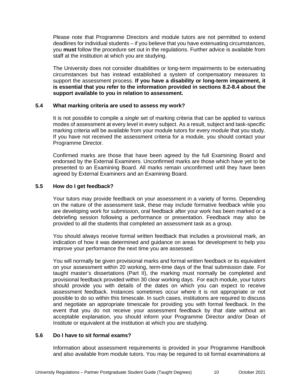Please note that Programme Directors and module tutors are not permitted to extend deadlines for individual students – if you believe that you have extenuating circumstances, you **must** follow the procedure set out in the regulations. Further advice is available from staff at the institution at which you are studying.

The University does not consider disabilities or long-term impairments to be extenuating circumstances but has instead established a system of compensatory measures to support the assessment process. **If you have a disability or long-term impairment, it is essential that you refer to the information provided in sections 8.2-8.4 about the support available to you in relation to assessment.**

#### <span id="page-12-0"></span>**5.4 What marking criteria are used to assess my work?**

It is not possible to compile a *single* set of marking criteria that can be applied to various modes of assessment at every level in every subject. As a result, subject and task-specific marking criteria will be available from your module tutors for every module that you study. If you have not received the assessment criteria for a module, you should contact your Programme Director.

Confirmed marks are those that have been agreed by the full Examining Board and endorsed by the External Examiners. Unconfirmed marks are those which have yet to be presented to an Examining Board. All marks remain unconfirmed until they have been agreed by External Examiners and an Examining Board.

#### <span id="page-12-1"></span>**5.5 How do I get feedback?**

Your tutors may provide feedback on your assessment in a variety of forms. Depending on the nature of the assessment task, these may include formative feedback while you are developing work for submission, oral feedback after your work has been marked or a debriefing session following a performance or presentation. Feedback may also be provided to all the students that completed an assessment task as a group.

You should always receive formal written feedback that includes a provisional mark, an indication of how it was determined and guidance on areas for development to help you improve your performance the next time you are assessed.

You will normally be given provisional marks and formal written feedback or its equivalent on your assessment within 20 working, term-time days of the final submission date. For taught master's dissertations (Part II), the marking must normally be completed and provisional feedback provided within 30 clear working days. For each module, your tutors should provide you with details of the dates on which you can expect to receive assessment feedback. Instances sometimes occur where it is not appropriate or not possible to do so within this timescale. In such cases, institutions are required to discuss and negotiate an appropriate timescale for providing you with formal feedback. In the event that you do not receive your assessment feedback by that date without an acceptable explanation, you should inform your Programme Director and/or Dean of Institute or equivalent at the institution at which you are studying.

#### <span id="page-12-2"></span>**5.6 Do I have to sit formal exams?**

Information about assessment requirements is provided in your Programme Handbook and also available from module tutors. You may be required to sit formal examinations at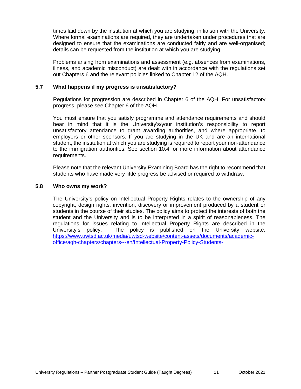times laid down by the institution at which you are studying, in liaison with the University. Where formal examinations are required, they are undertaken under procedures that are designed to ensure that the examinations are conducted fairly and are well-organised; details can be requested from the institution at which you are studying.

Problems arising from examinations and assessment (e.g. absences from examinations, illness, and academic misconduct) are dealt with in accordance with the regulations set out Chapters 6 and the relevant policies linked to Chapter 12 of the AQH.

#### <span id="page-13-0"></span>**5.7 What happens if my progress is unsatisfactory?**

Regulations for progression are described in Chapter 6 of the AQH. For unsatisfactory progress, please see Chapter 6 of the AQH.

You must ensure that you satisfy programme and attendance requirements and should bear in mind that it is the University's/your institution's responsibility to report unsatisfactory attendance to grant awarding authorities, and where appropriate, to employers or other sponsors. If you are studying in the UK and are an international student, the institution at which you are studying is required to report your non-attendance to the immigration authorities. See section 10.4 for more information about attendance requirements.

Please note that the relevant University Examining Board has the right to recommend that students who have made very little progress be advised or required to withdraw.

#### <span id="page-13-1"></span>**5.8 Who owns my work?**

The University's policy on Intellectual Property Rights relates to the ownership of any copyright, design rights, invention, discovery or improvement produced by a student or students in the course of their studies. The policy aims to protect the interests of both the student and the University and is to be interpreted in a spirit of reasonableness. The regulations for issues relating to Intellectual Property Rights are described in the University's policy. The policy is published on the University website: [https://www.uwtsd.ac.uk/media/uwtsd-website/content-assets/documents/academic](https://www.uwtsd.ac.uk/media/uwtsd-website/content-assets/documents/academic-office/aqh-chapters/chapters---en/Intellectual-Property-Policy-Students-)[office/aqh-chapters/chapters---en/Intellectual-Property-Policy-Students-](https://www.uwtsd.ac.uk/media/uwtsd-website/content-assets/documents/academic-office/aqh-chapters/chapters---en/Intellectual-Property-Policy-Students-)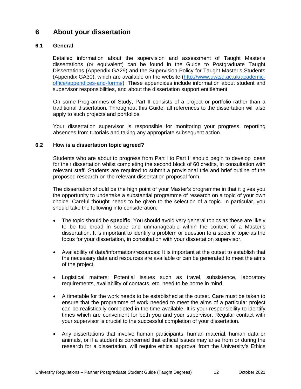## <span id="page-14-0"></span>**6 About your dissertation**

#### <span id="page-14-1"></span>**6.1 General**

Detailed information about the supervision and assessment of Taught Master's dissertations (or equivalent) can be found in the Guide to Postgraduate Taught Dissertations (Appendix GA29) and the Supervision Policy for Taught Master's Students (Appendix GA30), which are available on the website [\(http://www.uwtsd.ac.uk/academic](http://www.uwtsd.ac.uk/academic-office/appendices-and-forms/)[office/appendices-and-forms/\)](http://www.uwtsd.ac.uk/academic-office/appendices-and-forms/). These appendices include information about student and supervisor responsibilities, and about the dissertation support entitlement.

On some Programmes of Study, Part II consists of a project or portfolio rather than a traditional dissertation. Throughout this Guide, all references to the dissertation will also apply to such projects and portfolios.

Your dissertation supervisor is responsible for monitoring your progress, reporting absences from tutorials and taking any appropriate subsequent action.

#### <span id="page-14-2"></span>**6.2 How is a dissertation topic agreed?**

Students who are about to progress from Part I to Part II should begin to develop ideas for their dissertation whilst completing the second block of 60 credits, in consultation with relevant staff. Students are required to submit a provisional title and brief outline of the proposed research on the relevant dissertation proposal form.

The dissertation should be the high point of your Master's programme in that it gives you the opportunity to undertake a substantial programme of research on a topic of your own choice. Careful thought needs to be given to the selection of a topic. In particular, you should take the following into consideration:

- The topic should be **specific**: You should avoid very general topics as these are likely to be too broad in scope and unmanageable within the context of a Master's dissertation. It is important to identify a problem or question to a specific topic as the focus for your dissertation, in consultation with your dissertation supervisor.
- Availability of data/information/resources: It is important at the outset to establish that the necessary data and resources are available or can be generated to meet the aims of the project.
- Logistical matters: Potential issues such as travel, subsistence, laboratory requirements, availability of contacts, etc. need to be borne in mind.
- A timetable for the work needs to be established at the outset. Care must be taken to ensure that the programme of work needed to meet the aims of a particular project can be realistically completed in the time available. It is your responsibility to identify times which are convenient for both you and your supervisor. Regular contact with your supervisor is crucial to the successful completion of your dissertation.
- Any dissertations that involve human participants, human material, human data or animals, or if a student is concerned that ethical issues may arise from or during the research for a dissertation, will require ethical approval from the University's Ethics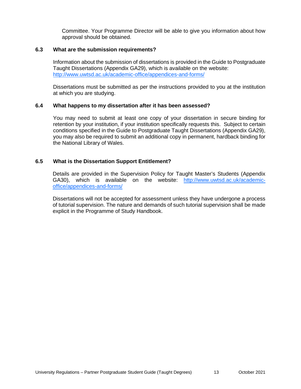Committee. Your Programme Director will be able to give you information about how approval should be obtained.

#### <span id="page-15-0"></span>**6.3 What are the submission requirements?**

Information about the submission of dissertations is provided in the Guide to Postgraduate Taught Dissertations (Appendix GA29), which is available on the website: <http://www.uwtsd.ac.uk/academic-office/appendices-and-forms/>

Dissertations must be submitted as per the instructions provided to you at the institution at which you are studying.

#### <span id="page-15-1"></span>**6.4 What happens to my dissertation after it has been assessed?**

You may need to submit at least one copy of your dissertation in secure binding for retention by your institution, if your institution specifically requests this. Subject to certain conditions specified in the Guide to Postgraduate Taught Dissertations (Appendix GA29), you may also be required to submit an additional copy in permanent, hardback binding for the National Library of Wales.

#### <span id="page-15-2"></span>**6.5 What is the Dissertation Support Entitlement?**

Details are provided in the Supervision Policy for Taught Master's Students (Appendix GA30), which is available on the website: [http://www.uwtsd.ac.uk/academic](http://www.uwtsd.ac.uk/academic-office/appendices-and-forms/)[office/appendices-and-forms/](http://www.uwtsd.ac.uk/academic-office/appendices-and-forms/)

Dissertations will not be accepted for assessment unless they have undergone a process of tutorial supervision. The nature and demands of such tutorial supervision shall be made explicit in the Programme of Study Handbook.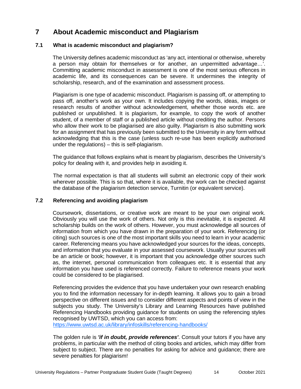## <span id="page-16-0"></span>**7 About Academic misconduct and Plagiarism**

#### <span id="page-16-1"></span>**7.1 What is academic misconduct and plagiarism?**

The University defines academic misconduct as 'any act, intentional or otherwise, whereby a person may obtain for themselves or for another, an unpermitted advantage…'. Committing academic misconduct in assessment is one of the most serious offences in academic life, and its consequences can be severe. It undermines the integrity of scholarship, research, and of the examination and assessment process.

Plagiarism is one type of academic misconduct. Plagiarism is passing off, or attempting to pass off, another's work as your own. It includes copying the words, ideas, images or research results of another without acknowledgement, whether those words etc. are published or unpublished. It is plagiarism, for example, to copy the work of another student, of a member of staff or a published article without crediting the author. Persons who allow their work to be plagiarised are also guilty. Plagiarism is also submitting work for an assignment that has previously been submitted to the University in any form without acknowledging that this is the case (unless such re-use has been explicitly authorised under the regulations) – this is self-plagiarism.

The guidance that follows explains what is meant by plagiarism, describes the University's policy for dealing with it, and provides help in avoiding it.

The normal expectation is that all students will submit an electronic copy of their work wherever possible. This is so that, where it is available, the work can be checked against the database of the plagiarism detection service, Turnitin (or equivalent service).

#### <span id="page-16-2"></span>**7.2 Referencing and avoiding plagiarism**

Coursework, dissertations, or creative work are meant to be your own original work. Obviously you will use the work of others. Not only is this inevitable, it is expected. All scholarship builds on the work of others. However, you must acknowledge all sources of information from which you have drawn in the preparation of your work. Referencing (or citing) such sources is one of the most important skills you need to learn in your academic career. Referencing means you have acknowledged your sources for the ideas, concepts, and information that you evaluate in your assessed coursework. Usually your sources will be an article or book; however, it is important that you acknowledge other sources such as, the internet, personal communication from colleagues etc. It is essential that any information you have used is referenced correctly. Failure to reference means your work could be considered to be plagiarised.

Referencing provides the evidence that you have undertaken your own research enabling you to find the information necessary for in-depth learning. It allows you to gain a broad perspective on different issues and to consider different aspects and points of view in the subjects you study. The University's Library and Learning Resources have published Referencing Handbooks providing guidance for students on using the referencing styles recognised by UWTSD, which you can access from:

<https://www.uwtsd.ac.uk/library/infoskills/referencing-handbooks/>

The golden rule is *'if in doubt, provide references'*. Consult your tutors if you have any problems, in particular with the method of citing books and articles, which may differ from subject to subject. There are no penalties for asking for advice and guidance; there are severe penalties for plagiarism!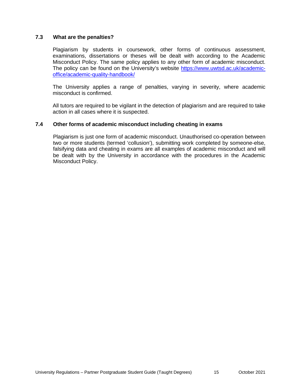#### <span id="page-17-0"></span>**7.3 What are the penalties?**

Plagiarism by students in coursework, other forms of continuous assessment, examinations, dissertations or theses will be dealt with according to the Academic Misconduct Policy. The same policy applies to any other form of academic misconduct. The policy can be found on the University's website [https://www.uwtsd.ac.uk/academic](https://www.uwtsd.ac.uk/academic-office/academic-quality-handbook/)[office/academic-quality-handbook/](https://www.uwtsd.ac.uk/academic-office/academic-quality-handbook/)

The University applies a range of penalties, varying in severity, where academic misconduct is confirmed.

All tutors are required to be vigilant in the detection of plagiarism and are required to take action in all cases where it is suspected.

#### <span id="page-17-1"></span>**7.4 Other forms of academic misconduct including cheating in exams**

Plagiarism is just one form of academic misconduct. Unauthorised co-operation between two or more students (termed 'collusion'), submitting work completed by someone-else, falsifying data and cheating in exams are all examples of academic misconduct and will be dealt with by the University in accordance with the procedures in the Academic Misconduct Policy.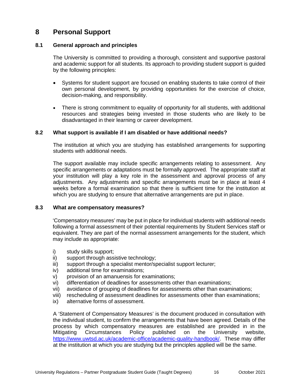## <span id="page-18-0"></span>**8 Personal Support**

#### <span id="page-18-1"></span>**8.1 General approach and principles**

The University is committed to providing a thorough, consistent and supportive pastoral and academic support for all students. Its approach to providing student support is guided by the following principles:

- Systems for student support are focused on enabling students to take control of their own personal development, by providing opportunities for the exercise of choice, decision-making, and responsibility.
- There is strong commitment to equality of opportunity for all students, with additional resources and strategies being invested in those students who are likely to be disadvantaged in their learning or career development.

#### <span id="page-18-2"></span>**8.2 What support is available if I am disabled or have additional needs?**

The institution at which you are studying has established arrangements for supporting students with additional needs.

The support available may include specific arrangements relating to assessment. Any specific arrangements or adaptations must be formally approved. The appropriate staff at your institution will play a key role in the assessment and approval process of any adjustments. Any adjustments and specific arrangements must be in place at least 4 weeks before a formal examination so that there is sufficient time for the institution at which you are studying to ensure that alternative arrangements are put in place.

#### <span id="page-18-3"></span>**8.3 What are compensatory measures?**

'Compensatory measures' may be put in place for individual students with additional needs following a formal assessment of their potential requirements by Student Services staff or equivalent. They are part of the normal assessment arrangements for the student, which may include as appropriate:

- i) study skills support;
- ii) support through assistive technology;
- iii) support through a specialist mentor/specialist support lecturer;
- iv) additional time for examinations;
- v) provision of an amanuensis for examinations;
- vi) differentiation of deadlines for assessments other than examinations;
- vii) avoidance of grouping of deadlines for assessments other than examinations;
- viii) rescheduling of assessment deadlines for assessments other than examinations;
- ix) alternative forms of assessment.

A 'Statement of Compensatory Measures' is the document produced in consultation with the individual student, to confirm the arrangements that have been agreed. Details of the process by which compensatory measures are established are provided in in the Mitigating Circumstances Policy published on the University website. Mitigating Circumstances Policy published on the University website, [https://www.uwtsd.ac.uk/academic-office/academic-quality-handbook/.](https://www.uwtsd.ac.uk/academic-office/academic-quality-handbook/) These may differ at the institution at which you are studying but the principles applied will be the same.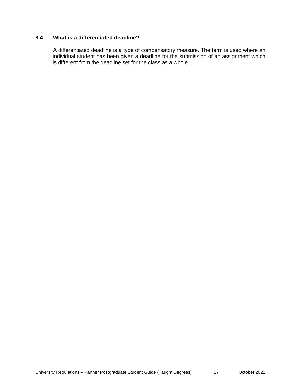#### <span id="page-19-0"></span>**8.4 What is a differentiated deadline?**

A differentiated deadline is a type of compensatory measure. The term is used where an individual student has been given a deadline for the submission of an assignment which is different from the deadline set for the class as a whole.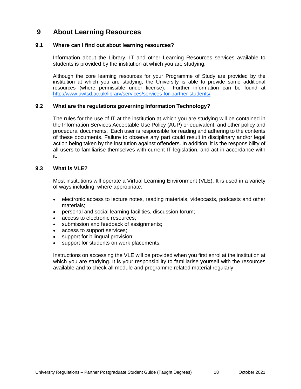## <span id="page-20-0"></span>**9 About Learning Resources**

#### <span id="page-20-1"></span>**9.1 Where can I find out about learning resources?**

Information about the Library, IT and other Learning Resources services available to students is provided by the institution at which you are studying.

Although the core learning resources for your Programme of Study are provided by the institution at which you are studying, the University is able to provide some additional resources (where permissible under license). Further information can be found at <http://www.uwtsd.ac.uk/library/services/services-for-partner-students/>

#### <span id="page-20-2"></span>**9.2 What are the regulations governing Information Technology?**

The rules for the use of IT at the institution at which you are studying will be contained in the Information Services Acceptable Use Policy (AUP) or equivalent, and other policy and procedural documents. Each user is responsible for reading and adhering to the contents of these documents. Failure to observe any part could result in disciplinary and/or legal action being taken by the institution against offenders. In addition, it is the responsibility of all users to familiarise themselves with current IT legislation, and act in accordance with it.

#### <span id="page-20-3"></span>**9.3 What is VLE?**

Most institutions will operate a Virtual Learning Environment (VLE). It is used in a variety of ways including, where appropriate:

- electronic access to lecture notes, reading materials, videocasts, podcasts and other materials;
- personal and social learning facilities, discussion forum;
- access to electronic resources;
- submission and feedback of assignments;
- access to support services;
- support for bilingual provision;
- support for students on work placements.

Instructions on accessing the VLE will be provided when you first enrol at the institution at which you are studying. It is your responsibility to familiarise yourself with the resources available and to check all module and programme related material regularly.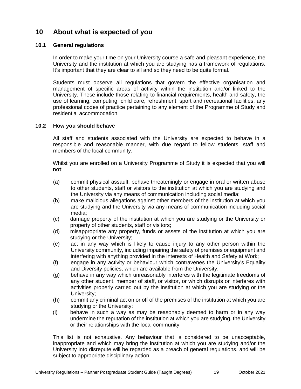## <span id="page-21-0"></span>**10 About what is expected of you**

#### <span id="page-21-1"></span>**10.1 General regulations**

In order to make your time on your University course a safe and pleasant experience, the University and the institution at which you are studying has a framework of regulations. It's important that they are clear to all and so they need to be quite formal.

Students must observe all regulations that govern the effective organisation and management of specific areas of activity within the institution and/or linked to the University. These include those relating to financial requirements, health and safety, the use of learning, computing, child care, refreshment, sport and recreational facilities, any professional codes of practice pertaining to any element of the Programme of Study and residential accommodation.

#### <span id="page-21-2"></span>**10.2 How you should behave**

All staff and students associated with the University are expected to behave in a responsible and reasonable manner, with due regard to fellow students, staff and members of the local community.

Whilst you are enrolled on a University Programme of Study it is expected that you will **not**:

- (a) commit physical assault, behave threateningly or engage in oral or written abuse to other students, staff or visitors to the institution at which you are studying and the University via any means of communication including social media;
- (b) make malicious allegations against other members of the institution at which you are studying and the University via any means of communication including social media;
- (c) damage property of the institution at which you are studying or the University or property of other students, staff or visitors;
- (d) misappropriate any property, funds or assets of the institution at which you are studying or the University;
- (e) act in any way which is likely to cause injury to any other person within the University community, including impairing the safety of premises or equipment and interfering with anything provided in the interests of Health and Safety at Work;
- (f) engage in any activity or behaviour which contravenes the University's Equality and Diversity policies, which are available from the University;
- (g) behave in any way which unreasonably interferes with the legitimate freedoms of any other student, member of staff, or visitor, or which disrupts or interferes with activities properly carried out by the institution at which you are studying or the University;
- (h) commit any criminal act on or off of the premises of the institution at which you are studying or the University;
- (i) behave in such a way as may be reasonably deemed to harm or in any way undermine the reputation of the institution at which you are studying, the University or their relationships with the local community.

This list is not exhaustive. Any behaviour that is considered to be unacceptable, inappropriate and which may bring the institution at which you are studying and/or the University into disrepute will be regarded as a breach of general regulations, and will be subject to appropriate disciplinary action.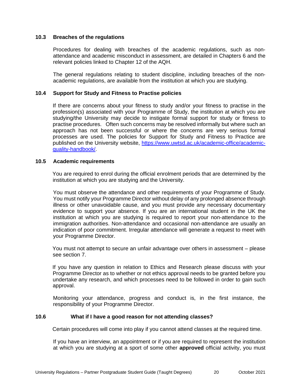#### <span id="page-22-0"></span>**10.3 Breaches of the regulations**

Procedures for dealing with breaches of the academic regulations, such as nonattendance and academic misconduct in assessment, are detailed in Chapters 6 and the relevant policies linked to Chapter 12 of the AQH.

The general regulations relating to student discipline, including breaches of the nonacademic regulations, are available from the institution at which you are studying.

#### <span id="page-22-1"></span>**10.4 Support for Study and Fitness to Practise policies**

If there are concerns about your fitness to study and/or your fitness to practise in the profession(s) associated with your Programme of Study, the institution at which you are studying/the University may decide to instigate formal support for study or fitness to practise procedures. Often such concerns may be resolved informally but where such an approach has not been successful or where the concerns are very serious formal processes are used. The policies for Support for Study and Fitness to Practice are published on the University website, [https://www.uwtsd.ac.uk/academic-office/academic](https://www.uwtsd.ac.uk/academic-office/academic-quality-handbook/)[quality-handbook/.](https://www.uwtsd.ac.uk/academic-office/academic-quality-handbook/)

#### <span id="page-22-2"></span>**10.5 Academic requirements**

You are required to enrol during the official enrolment periods that are determined by the institution at which you are studying and the University.

You must observe the attendance and other requirements of your Programme of Study. You must notify your Programme Director without delay of any prolonged absence through illness or other unavoidable cause, and you must provide any necessary documentary evidence to support your absence. If you are an international student in the UK the institution at which you are studying is required to report your non-attendance to the immigration authorities. Non-attendance and occasional non-attendance are usually an indication of poor commitment. Irregular attendance will generate a request to meet with your Programme Director.

You must not attempt to secure an unfair advantage over others in assessment – please see section 7.

If you have any question in relation to Ethics and Research please discuss with your Programme Director as to whether or not ethics approval needs to be granted before you undertake any research, and which processes need to be followed in order to gain such approval.

Monitoring your attendance, progress and conduct is, in the first instance, the responsibility of your Programme Director.

#### <span id="page-22-3"></span>**10.6 What if I have a good reason for not attending classes?**

Certain procedures will come into play if you cannot attend classes at the required time.

If you have an interview, an appointment or if you are required to represent the institution at which you are studying at a sport of some other **approved** official activity, you must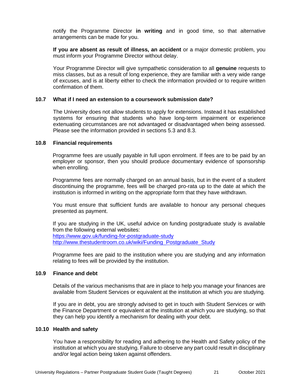notify the Programme Director **in writing** and in good time, so that alternative arrangements can be made for you.

**If you are absent as result of illness, an accident** or a major domestic problem, you must inform your Programme Director without delay.

Your Programme Director will give sympathetic consideration to all **genuine** requests to miss classes, but as a result of long experience, they are familiar with a very wide range of excuses, and is at liberty either to check the information provided or to require written confirmation of them.

#### <span id="page-23-0"></span>**10.7 What if I need an extension to a coursework submission date?**

The University does not allow students to apply for extensions. Instead it has established systems for ensuring that students who have long-term impairment or experience extenuating circumstances are not advantaged or disadvantaged when being assessed. Please see the information provided in sections 5.3 and 8.3.

#### <span id="page-23-1"></span>**10.8 Financial requirements**

Programme fees are usually payable in full upon enrolment. If fees are to be paid by an employer or sponsor, then you should produce documentary evidence of sponsorship when enrolling.

Programme fees are normally charged on an annual basis, but in the event of a student discontinuing the programme, fees will be charged pro-rata up to the date at which the institution is informed in writing on the appropriate form that they have withdrawn.

You must ensure that sufficient funds are available to honour any personal cheques presented as payment.

If you are studying in the UK, useful advice on funding postgraduate study is available from the following external websites: <https://www.gov.uk/funding-for-postgraduate-study> [http://www.thestudentroom.co.uk/wiki/Funding\\_Postgraduate\\_Study](http://www.thestudentroom.co.uk/wiki/Funding_Postgraduate_Study)

Programme fees are paid to the institution where you are studying and any information relating to fees will be provided by the institution.

#### <span id="page-23-2"></span>**10.9 Finance and debt**

Details of the various mechanisms that are in place to help you manage your finances are available from Student Services or equivalent at the institution at which you are studying.

If you are in debt, you are strongly advised to get in touch with Student Services or with the Finance Department or equivalent at the institution at which you are studying, so that they can help you identify a mechanism for dealing with your debt.

#### <span id="page-23-3"></span>**10.10 Health and safety**

You have a responsibility for reading and adhering to the Health and Safety policy of the institution at which you are studying. Failure to observe any part could result in disciplinary and/or legal action being taken against offenders.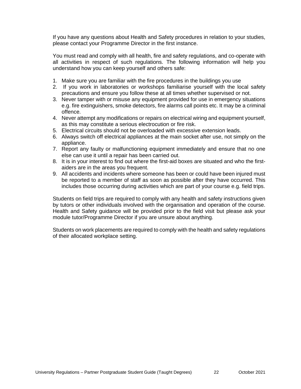If you have any questions about Health and Safety procedures in relation to your studies, please contact your Programme Director in the first instance.

You must read and comply with all health, fire and safety regulations, and co-operate with all activities in respect of such regulations. The following information will help you understand how you can keep yourself and others safe:

- 1. Make sure you are familiar with the fire procedures in the buildings you use
- 2. If you work in laboratories or workshops familiarise yourself with the local safety precautions and ensure you follow these at all times whether supervised or not.
- 3. Never tamper with or misuse any equipment provided for use in emergency situations e.g. fire extinguishers, smoke detectors, fire alarms call points etc. It may be a criminal offence.
- 4. Never attempt any modifications or repairs on electrical wiring and equipment yourself, as this may constitute a serious electrocution or fire risk.
- 5. Electrical circuits should not be overloaded with excessive extension leads.
- 6. Always switch off electrical appliances at the main socket after use, not simply on the appliance.
- 7. Report any faulty or malfunctioning equipment immediately and ensure that no one else can use it until a repair has been carried out.
- 8. It is in your interest to find out where the first-aid boxes are situated and who the firstaiders are in the areas you frequent.
- 9. All accidents and incidents where someone has been or could have been injured must be reported to a member of staff as soon as possible after they have occurred. This includes those occurring during activities which are part of your course e.g. field trips.

Students on field trips are required to comply with any health and safety instructions given by tutors or other individuals involved with the organisation and operation of the course. Health and Safety guidance will be provided prior to the field visit but please ask your module tutor/Programme Director if you are unsure about anything.

Students on work placements are required to comply with the health and safety regulations of their allocated workplace setting.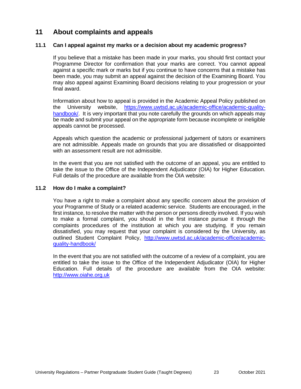## <span id="page-25-0"></span>**11 About complaints and appeals**

#### <span id="page-25-1"></span>**11.1 Can I appeal against my marks or a decision about my academic progress?**

If you believe that a mistake has been made in your marks, you should first contact your Programme Director for confirmation that your marks are correct. You cannot appeal against a specific mark or marks but if you continue to have concerns that a mistake has been made, you may submit an appeal against the decision of the Examining Board. You may also appeal against Examining Board decisions relating to your progression or your final award.

Information about how to appeal is provided in the Academic Appeal Policy published on the University website, https://www.uwtsd.ac.uk/academic-office/academic-qualityhandbook. It is very important that you note carefully the grounds on which appeals may be made and submit your appeal on the appropriate form because incomplete or ineligible appeals cannot be processed.

Appeals which question the academic or professional judgement of tutors or examiners are not admissible. Appeals made on grounds that you are dissatisfied or disappointed with an assessment result are not admissible.

In the event that you are not satisfied with the outcome of an appeal, you are entitled to take the issue to the Office of the Independent Adjudicator (OIA) for Higher Education. Full details of the procedure are available from the OIA website:

#### <span id="page-25-2"></span>**11.2 How do I make a complaint?**

You have a right to make a complaint about any specific concern about the provision of your Programme of Study or a related academic service. Students are encouraged, in the first instance, to resolve the matter with the person or persons directly involved. If you wish to make a formal complaint, you should in the first instance pursue it through the complaints procedures of the institution at which you are studying. If you remain dissatisfied, you may request that your complaint is considered by the University, as outlined Student Complaint Policy, http://www.uwtsd.ac.uk/academic-office/academicquality-handbook/

In the event that you are not satisfied with the outcome of a review of a complaint, you are entitled to take the issue to the Office of the Independent Adjudicator (OIA) for Higher Education. Full details of the procedure are available from the OIA website: http://www.oiahe.org.uk